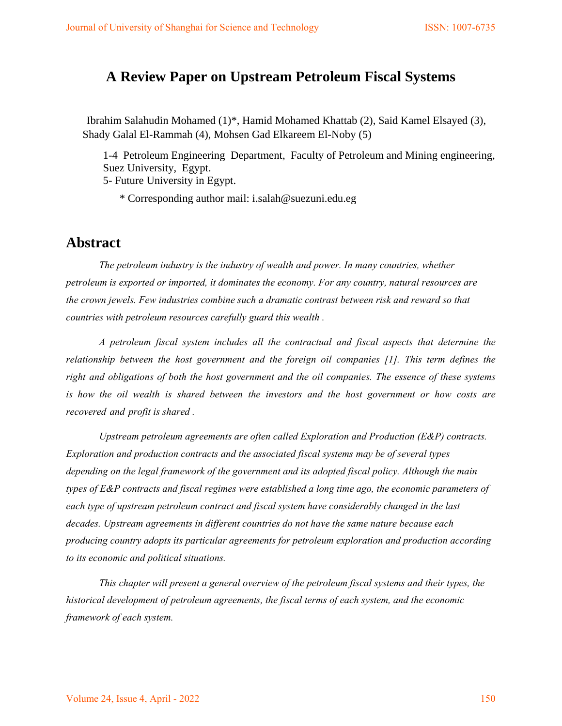## **A Review Paper on Upstream Petroleum Fiscal Systems**

Ibrahim Salahudin Mohamed (1)\*, Hamid Mohamed Khattab (2), Said Kamel Elsayed (3), Shady Galal El-Rammah (4), Mohsen Gad Elkareem El-Noby (5)

1-4 Petroleum Engineering Department, Faculty of Petroleum and Mining engineering, Suez University, Egypt.

5- Future University in Egypt.

\* Corresponding author mail: i.salah@suezuni.edu.eg

### **Abstract**

*The petroleum industry is the industry of wealth and power. In many countries, whether petroleum is exported or imported, it dominates the economy. For any country, natural resources are the crown jewels. Few industries combine such a dramatic contrast between risk and reward so that countries with petroleum resources carefully guard this wealth .* 

*A petroleum fiscal system includes all the contractual and fiscal aspects that determine the relationship between the host government and the foreign oil companies [1]. This term defines the right and obligations of both the host government and the oil companies. The essence of these systems is how the oil wealth is shared between the investors and the host government or how costs are recovered and profit is shared .* 

*Upstream petroleum agreements are often called Exploration and Production (E&P) contracts. Exploration and production contracts and the associated fiscal systems may be of several types depending on the legal framework of the government and its adopted fiscal policy. Although the main types of E&P contracts and fiscal regimes were established a long time ago, the economic parameters of each type of upstream petroleum contract and fiscal system have considerably changed in the last decades. Upstream agreements in different countries do not have the same nature because each producing country adopts its particular agreements for petroleum exploration and production according to its economic and political situations.* 

*This chapter will present a general overview of the petroleum fiscal systems and their types, the historical development of petroleum agreements, the fiscal terms of each system, and the economic framework of each system.*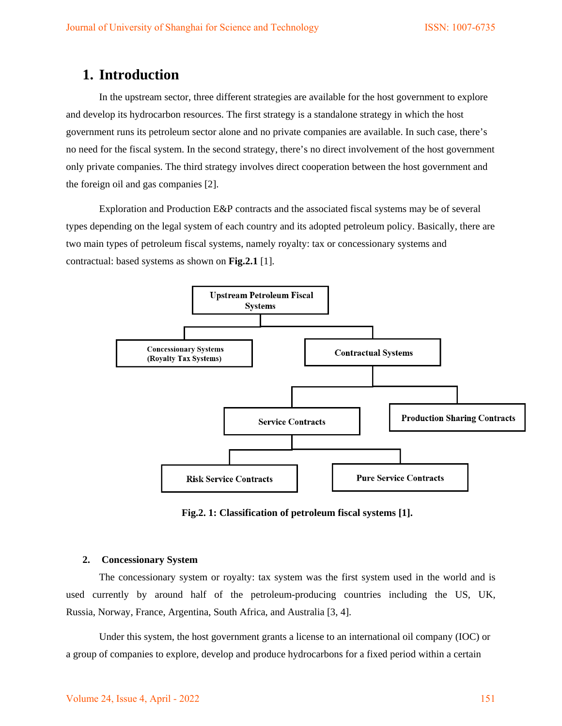## **1. Introduction**

In the upstream sector, three different strategies are available for the host government to explore and develop its hydrocarbon resources. The first strategy is a standalone strategy in which the host government runs its petroleum sector alone and no private companies are available. In such case, there's no need for the fiscal system. In the second strategy, there's no direct involvement of the host government only private companies. The third strategy involves direct cooperation between the host government and the foreign oil and gas companies [2].

Exploration and Production E&P contracts and the associated fiscal systems may be of several types depending on the legal system of each country and its adopted petroleum policy. Basically, there are two main types of petroleum fiscal systems, namely royalty: tax or concessionary systems and contractual: based systems as shown on **Fig.2.1** [1].



**Fig.2. 1: Classification of petroleum fiscal systems [1].** 

#### **2. Concessionary System**

The concessionary system or royalty: tax system was the first system used in the world and is used currently by around half of the petroleum-producing countries including the US, UK, Russia, Norway, France, Argentina, South Africa, and Australia [3, 4].

Under this system, the host government grants a license to an international oil company (IOC) or a group of companies to explore, develop and produce hydrocarbons for a fixed period within a certain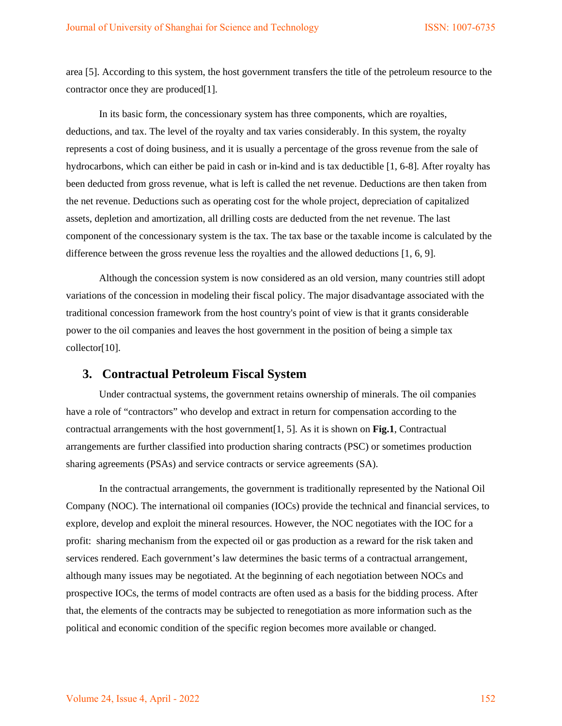area [5]. According to this system, the host government transfers the title of the petroleum resource to the contractor once they are produced[1].

In its basic form, the concessionary system has three components, which are royalties, deductions, and tax. The level of the royalty and tax varies considerably. In this system, the royalty represents a cost of doing business, and it is usually a percentage of the gross revenue from the sale of hydrocarbons, which can either be paid in cash or in-kind and is tax deductible [1, 6-8]. After royalty has been deducted from gross revenue, what is left is called the net revenue. Deductions are then taken from the net revenue. Deductions such as operating cost for the whole project, depreciation of capitalized assets, depletion and amortization, all drilling costs are deducted from the net revenue. The last component of the concessionary system is the tax. The tax base or the taxable income is calculated by the difference between the gross revenue less the royalties and the allowed deductions [1, 6, 9].

Although the concession system is now considered as an old version, many countries still adopt variations of the concession in modeling their fiscal policy. The major disadvantage associated with the traditional concession framework from the host country's point of view is that it grants considerable power to the oil companies and leaves the host government in the position of being a simple tax collector[10].

#### **3. Contractual Petroleum Fiscal System**

Under contractual systems, the government retains ownership of minerals. The oil companies have a role of "contractors" who develop and extract in return for compensation according to the contractual arrangements with the host government[1, 5]. As it is shown on **Fig.1**, Contractual arrangements are further classified into production sharing contracts (PSC) or sometimes production sharing agreements (PSAs) and service contracts or service agreements (SA).

In the contractual arrangements, the government is traditionally represented by the National Oil Company (NOC). The international oil companies (IOCs) provide the technical and financial services, to explore, develop and exploit the mineral resources. However, the NOC negotiates with the IOC for a profit: sharing mechanism from the expected oil or gas production as a reward for the risk taken and services rendered. Each government's law determines the basic terms of a contractual arrangement, although many issues may be negotiated. At the beginning of each negotiation between NOCs and prospective IOCs, the terms of model contracts are often used as a basis for the bidding process. After that, the elements of the contracts may be subjected to renegotiation as more information such as the political and economic condition of the specific region becomes more available or changed.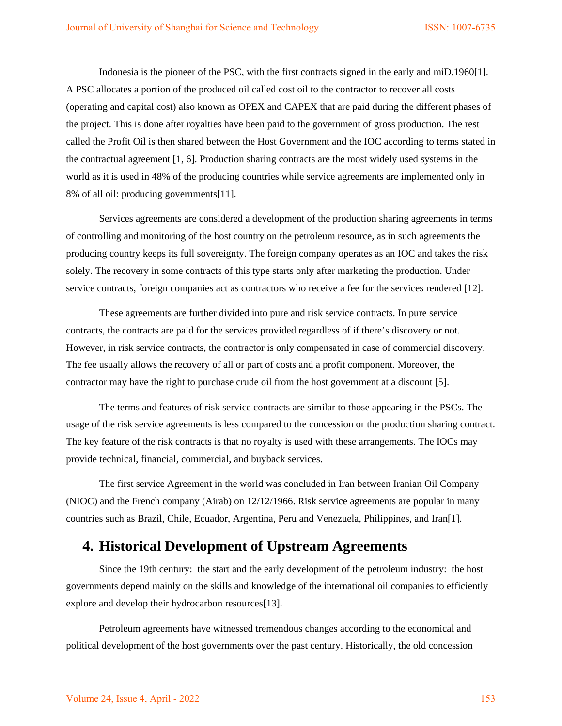Indonesia is the pioneer of the PSC, with the first contracts signed in the early and miD.1960[1]. A PSC allocates a portion of the produced oil called cost oil to the contractor to recover all costs (operating and capital cost) also known as OPEX and CAPEX that are paid during the different phases of the project. This is done after royalties have been paid to the government of gross production. The rest called the Profit Oil is then shared between the Host Government and the IOC according to terms stated in the contractual agreement [1, 6]. Production sharing contracts are the most widely used systems in the world as it is used in 48% of the producing countries while service agreements are implemented only in 8% of all oil: producing governments[11].

Services agreements are considered a development of the production sharing agreements in terms of controlling and monitoring of the host country on the petroleum resource, as in such agreements the producing country keeps its full sovereignty. The foreign company operates as an IOC and takes the risk solely. The recovery in some contracts of this type starts only after marketing the production. Under service contracts, foreign companies act as contractors who receive a fee for the services rendered [12].

These agreements are further divided into pure and risk service contracts. In pure service contracts, the contracts are paid for the services provided regardless of if there's discovery or not. However, in risk service contracts, the contractor is only compensated in case of commercial discovery. The fee usually allows the recovery of all or part of costs and a profit component. Moreover, the contractor may have the right to purchase crude oil from the host government at a discount [5].

The terms and features of risk service contracts are similar to those appearing in the PSCs. The usage of the risk service agreements is less compared to the concession or the production sharing contract. The key feature of the risk contracts is that no royalty is used with these arrangements. The IOCs may provide technical, financial, commercial, and buyback services.

The first service Agreement in the world was concluded in Iran between Iranian Oil Company (NIOC) and the French company (Airab) on 12/12/1966. Risk service agreements are popular in many countries such as Brazil, Chile, Ecuador, Argentina, Peru and Venezuela, Philippines, and Iran[1].

### **4. Historical Development of Upstream Agreements**

Since the 19th century: the start and the early development of the petroleum industry: the host governments depend mainly on the skills and knowledge of the international oil companies to efficiently explore and develop their hydrocarbon resources[13].

Petroleum agreements have witnessed tremendous changes according to the economical and political development of the host governments over the past century. Historically, the old concession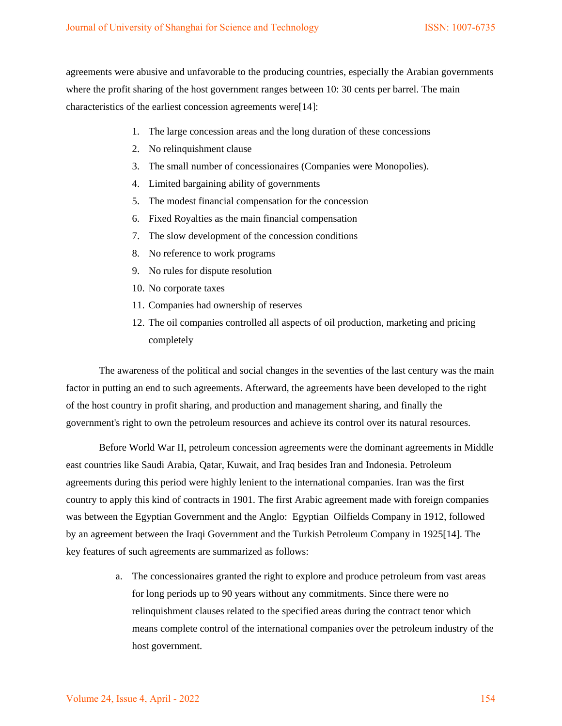agreements were abusive and unfavorable to the producing countries, especially the Arabian governments where the profit sharing of the host government ranges between 10: 30 cents per barrel. The main characteristics of the earliest concession agreements were[14]:

- 1. The large concession areas and the long duration of these concessions
- 2. No relinquishment clause
- 3. The small number of concessionaires (Companies were Monopolies).
- 4. Limited bargaining ability of governments
- 5. The modest financial compensation for the concession
- 6. Fixed Royalties as the main financial compensation
- 7. The slow development of the concession conditions
- 8. No reference to work programs
- 9. No rules for dispute resolution
- 10. No corporate taxes
- 11. Companies had ownership of reserves
- 12. The oil companies controlled all aspects of oil production, marketing and pricing completely

The awareness of the political and social changes in the seventies of the last century was the main factor in putting an end to such agreements. Afterward, the agreements have been developed to the right of the host country in profit sharing, and production and management sharing, and finally the government's right to own the petroleum resources and achieve its control over its natural resources.

Before World War II, petroleum concession agreements were the dominant agreements in Middle east countries like Saudi Arabia, Qatar, Kuwait, and Iraq besides Iran and Indonesia. Petroleum agreements during this period were highly lenient to the international companies. Iran was the first country to apply this kind of contracts in 1901. The first Arabic agreement made with foreign companies was between the Egyptian Government and the Anglo: Egyptian Oilfields Company in 1912, followed by an agreement between the Iraqi Government and the Turkish Petroleum Company in 1925[14]. The key features of such agreements are summarized as follows:

> a. The concessionaires granted the right to explore and produce petroleum from vast areas for long periods up to 90 years without any commitments. Since there were no relinquishment clauses related to the specified areas during the contract tenor which means complete control of the international companies over the petroleum industry of the host government.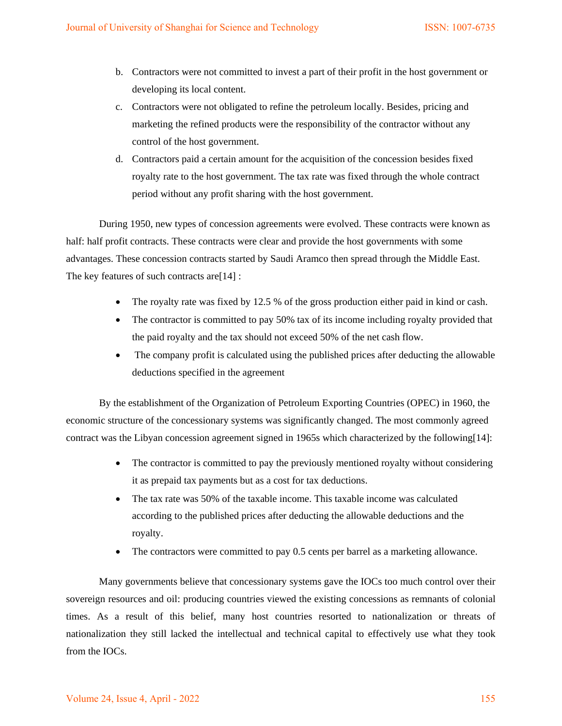- b. Contractors were not committed to invest a part of their profit in the host government or developing its local content.
- c. Contractors were not obligated to refine the petroleum locally. Besides, pricing and marketing the refined products were the responsibility of the contractor without any control of the host government.
- d. Contractors paid a certain amount for the acquisition of the concession besides fixed royalty rate to the host government. The tax rate was fixed through the whole contract period without any profit sharing with the host government.

During 1950, new types of concession agreements were evolved. These contracts were known as half: half profit contracts. These contracts were clear and provide the host governments with some advantages. These concession contracts started by Saudi Aramco then spread through the Middle East. The key features of such contracts are[14] :

- The royalty rate was fixed by 12.5 % of the gross production either paid in kind or cash.
- The contractor is committed to pay 50% tax of its income including royalty provided that the paid royalty and the tax should not exceed 50% of the net cash flow.
- The company profit is calculated using the published prices after deducting the allowable deductions specified in the agreement

By the establishment of the Organization of Petroleum Exporting Countries (OPEC) in 1960, the economic structure of the concessionary systems was significantly changed. The most commonly agreed contract was the Libyan concession agreement signed in 1965s which characterized by the following[14]:

- The contractor is committed to pay the previously mentioned royalty without considering it as prepaid tax payments but as a cost for tax deductions.
- The tax rate was 50% of the taxable income. This taxable income was calculated according to the published prices after deducting the allowable deductions and the royalty.
- The contractors were committed to pay 0.5 cents per barrel as a marketing allowance.

Many governments believe that concessionary systems gave the IOCs too much control over their sovereign resources and oil: producing countries viewed the existing concessions as remnants of colonial times. As a result of this belief, many host countries resorted to nationalization or threats of nationalization they still lacked the intellectual and technical capital to effectively use what they took from the IOCs.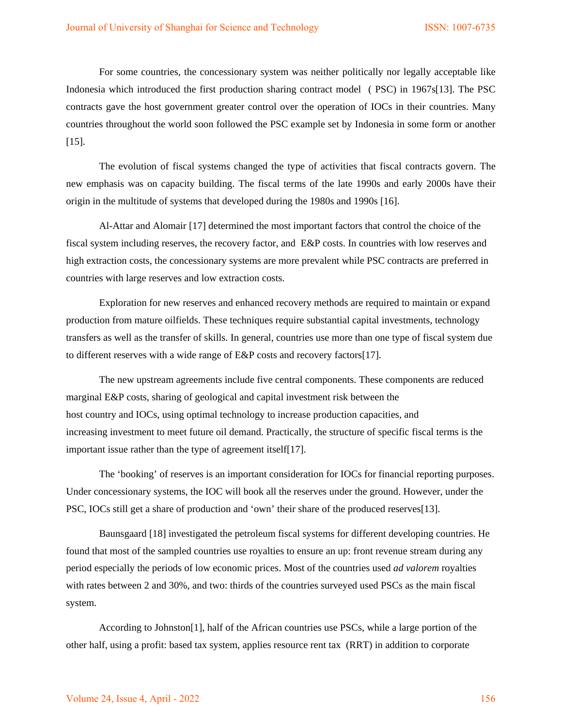For some countries, the concessionary system was neither politically nor legally acceptable like Indonesia which introduced the first production sharing contract model ( PSC) in 1967s[13]. The PSC contracts gave the host government greater control over the operation of IOCs in their countries. Many countries throughout the world soon followed the PSC example set by Indonesia in some form or another [15].

The evolution of fiscal systems changed the type of activities that fiscal contracts govern. The new emphasis was on capacity building. The fiscal terms of the late 1990s and early 2000s have their origin in the multitude of systems that developed during the 1980s and 1990s [16].

Al-Attar and Alomair [17] determined the most important factors that control the choice of the fiscal system including reserves, the recovery factor, and E&P costs. In countries with low reserves and high extraction costs, the concessionary systems are more prevalent while PSC contracts are preferred in countries with large reserves and low extraction costs.

Exploration for new reserves and enhanced recovery methods are required to maintain or expand production from mature oilfields. These techniques require substantial capital investments, technology transfers as well as the transfer of skills. In general, countries use more than one type of fiscal system due to different reserves with a wide range of E&P costs and recovery factors[17].

The new upstream agreements include five central components. These components are reduced marginal E&P costs, sharing of geological and capital investment risk between the host country and IOCs, using optimal technology to increase production capacities, and increasing investment to meet future oil demand. Practically, the structure of specific fiscal terms is the important issue rather than the type of agreement itself[17].

The 'booking' of reserves is an important consideration for IOCs for financial reporting purposes. Under concessionary systems, the IOC will book all the reserves under the ground. However, under the PSC, IOCs still get a share of production and 'own' their share of the produced reserves[13].

Baunsgaard [18] investigated the petroleum fiscal systems for different developing countries. He found that most of the sampled countries use royalties to ensure an up: front revenue stream during any period especially the periods of low economic prices. Most of the countries used *ad valorem* royalties with rates between 2 and 30%, and two: thirds of the countries surveyed used PSCs as the main fiscal system.

According to Johnston[1], half of the African countries use PSCs, while a large portion of the other half, using a profit: based tax system, applies resource rent tax (RRT) in addition to corporate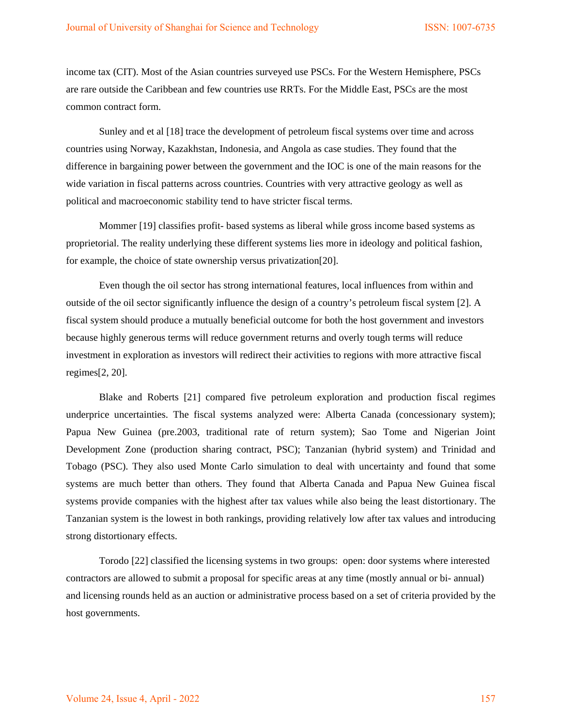income tax (CIT). Most of the Asian countries surveyed use PSCs. For the Western Hemisphere, PSCs are rare outside the Caribbean and few countries use RRTs. For the Middle East, PSCs are the most common contract form.

Sunley and et al [18] trace the development of petroleum fiscal systems over time and across countries using Norway, Kazakhstan, Indonesia, and Angola as case studies. They found that the difference in bargaining power between the government and the IOC is one of the main reasons for the wide variation in fiscal patterns across countries. Countries with very attractive geology as well as political and macroeconomic stability tend to have stricter fiscal terms.

Mommer [19] classifies profit- based systems as liberal while gross income based systems as proprietorial. The reality underlying these different systems lies more in ideology and political fashion, for example, the choice of state ownership versus privatization[20].

Even though the oil sector has strong international features, local influences from within and outside of the oil sector significantly influence the design of a country's petroleum fiscal system [2]. A fiscal system should produce a mutually beneficial outcome for both the host government and investors because highly generous terms will reduce government returns and overly tough terms will reduce investment in exploration as investors will redirect their activities to regions with more attractive fiscal regimes[2, 20].

Blake and Roberts [21] compared five petroleum exploration and production fiscal regimes underprice uncertainties. The fiscal systems analyzed were: Alberta Canada (concessionary system); Papua New Guinea (pre.2003, traditional rate of return system); Sao Tome and Nigerian Joint Development Zone (production sharing contract, PSC); Tanzanian (hybrid system) and Trinidad and Tobago (PSC). They also used Monte Carlo simulation to deal with uncertainty and found that some systems are much better than others. They found that Alberta Canada and Papua New Guinea fiscal systems provide companies with the highest after tax values while also being the least distortionary. The Tanzanian system is the lowest in both rankings, providing relatively low after tax values and introducing strong distortionary effects.

Torodo [22] classified the licensing systems in two groups: open: door systems where interested contractors are allowed to submit a proposal for specific areas at any time (mostly annual or bi- annual) and licensing rounds held as an auction or administrative process based on a set of criteria provided by the host governments.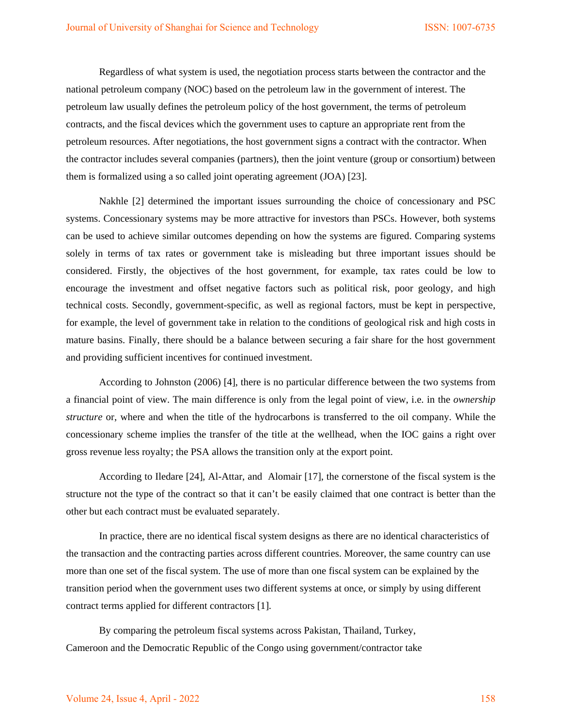Regardless of what system is used, the negotiation process starts between the contractor and the national petroleum company (NOC) based on the petroleum law in the government of interest. The petroleum law usually defines the petroleum policy of the host government, the terms of petroleum contracts, and the fiscal devices which the government uses to capture an appropriate rent from the petroleum resources. After negotiations, the host government signs a contract with the contractor. When the contractor includes several companies (partners), then the joint venture (group or consortium) between them is formalized using a so called joint operating agreement (JOA) [23].

Nakhle [2] determined the important issues surrounding the choice of concessionary and PSC systems. Concessionary systems may be more attractive for investors than PSCs. However, both systems can be used to achieve similar outcomes depending on how the systems are figured. Comparing systems solely in terms of tax rates or government take is misleading but three important issues should be considered. Firstly, the objectives of the host government, for example, tax rates could be low to encourage the investment and offset negative factors such as political risk, poor geology, and high technical costs. Secondly, government-specific, as well as regional factors, must be kept in perspective, for example, the level of government take in relation to the conditions of geological risk and high costs in mature basins. Finally, there should be a balance between securing a fair share for the host government and providing sufficient incentives for continued investment.

According to Johnston (2006) [4], there is no particular difference between the two systems from a financial point of view. The main difference is only from the legal point of view, i.e. in the *ownership structure* or, where and when the title of the hydrocarbons is transferred to the oil company. While the concessionary scheme implies the transfer of the title at the wellhead, when the IOC gains a right over gross revenue less royalty; the PSA allows the transition only at the export point.

According to Iledare [24], Al-Attar, and Alomair [17], the cornerstone of the fiscal system is the structure not the type of the contract so that it can't be easily claimed that one contract is better than the other but each contract must be evaluated separately.

In practice, there are no identical fiscal system designs as there are no identical characteristics of the transaction and the contracting parties across different countries. Moreover, the same country can use more than one set of the fiscal system. The use of more than one fiscal system can be explained by the transition period when the government uses two different systems at once, or simply by using different contract terms applied for different contractors [1].

By comparing the petroleum fiscal systems across Pakistan, Thailand, Turkey, Cameroon and the Democratic Republic of the Congo using government/contractor take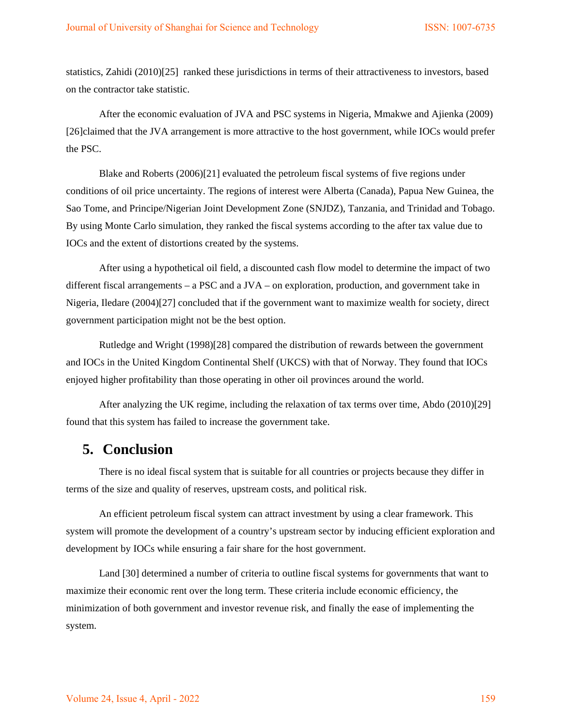statistics, Zahidi (2010)[25] ranked these jurisdictions in terms of their attractiveness to investors, based on the contractor take statistic.

After the economic evaluation of JVA and PSC systems in Nigeria, Mmakwe and Ajienka (2009) [26]claimed that the JVA arrangement is more attractive to the host government, while IOCs would prefer the PSC.

Blake and Roberts (2006)[21] evaluated the petroleum fiscal systems of five regions under conditions of oil price uncertainty. The regions of interest were Alberta (Canada), Papua New Guinea, the Sao Tome, and Principe/Nigerian Joint Development Zone (SNJDZ), Tanzania, and Trinidad and Tobago. By using Monte Carlo simulation, they ranked the fiscal systems according to the after tax value due to IOCs and the extent of distortions created by the systems.

After using a hypothetical oil field, a discounted cash flow model to determine the impact of two different fiscal arrangements – a PSC and a JVA – on exploration, production, and government take in Nigeria, Iledare (2004)[27] concluded that if the government want to maximize wealth for society, direct government participation might not be the best option.

Rutledge and Wright (1998)[28] compared the distribution of rewards between the government and IOCs in the United Kingdom Continental Shelf (UKCS) with that of Norway. They found that IOCs enjoyed higher profitability than those operating in other oil provinces around the world.

After analyzing the UK regime, including the relaxation of tax terms over time, Abdo (2010)[29] found that this system has failed to increase the government take.

### **5. Conclusion**

There is no ideal fiscal system that is suitable for all countries or projects because they differ in terms of the size and quality of reserves, upstream costs, and political risk.

An efficient petroleum fiscal system can attract investment by using a clear framework. This system will promote the development of a country's upstream sector by inducing efficient exploration and development by IOCs while ensuring a fair share for the host government.

Land [30] determined a number of criteria to outline fiscal systems for governments that want to maximize their economic rent over the long term. These criteria include economic efficiency, the minimization of both government and investor revenue risk, and finally the ease of implementing the system.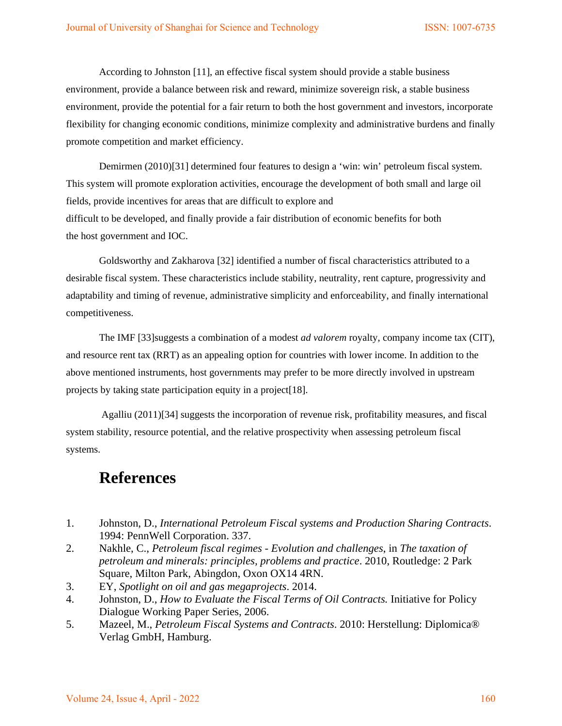According to Johnston [11], an effective fiscal system should provide a stable business environment, provide a balance between risk and reward, minimize sovereign risk, a stable business environment, provide the potential for a fair return to both the host government and investors, incorporate flexibility for changing economic conditions, minimize complexity and administrative burdens and finally promote competition and market efficiency.

Demirmen (2010)[31] determined four features to design a 'win: win' petroleum fiscal system. This system will promote exploration activities, encourage the development of both small and large oil fields, provide incentives for areas that are difficult to explore and difficult to be developed, and finally provide a fair distribution of economic benefits for both the host government and IOC.

Goldsworthy and Zakharova [32] identified a number of fiscal characteristics attributed to a desirable fiscal system. These characteristics include stability, neutrality, rent capture, progressivity and adaptability and timing of revenue, administrative simplicity and enforceability, and finally international competitiveness.

The IMF [33]suggests a combination of a modest *ad valorem* royalty, company income tax (CIT), and resource rent tax (RRT) as an appealing option for countries with lower income. In addition to the above mentioned instruments, host governments may prefer to be more directly involved in upstream projects by taking state participation equity in a project[18].

Agalliu (2011)[34] suggests the incorporation of revenue risk, profitability measures, and fiscal system stability, resource potential, and the relative prospectivity when assessing petroleum fiscal systems.

# **References**

- 1. Johnston, D., *International Petroleum Fiscal systems and Production Sharing Contracts*. 1994: PennWell Corporation. 337.
- 2. Nakhle, C., *Petroleum fiscal regimes Evolution and challenges*, in *The taxation of petroleum and minerals: principles, problems and practice*. 2010, Routledge: 2 Park Square, Milton Park, Abingdon, Oxon OX14 4RN.
- 3. EY, *Spotlight on oil and gas megaprojects*. 2014.
- 4. Johnston, D., *How to Evaluate the Fiscal Terms of Oil Contracts.* Initiative for Policy Dialogue Working Paper Series, 2006.
- 5. Mazeel, M., *Petroleum Fiscal Systems and Contracts*. 2010: Herstellung: Diplomica® Verlag GmbH, Hamburg.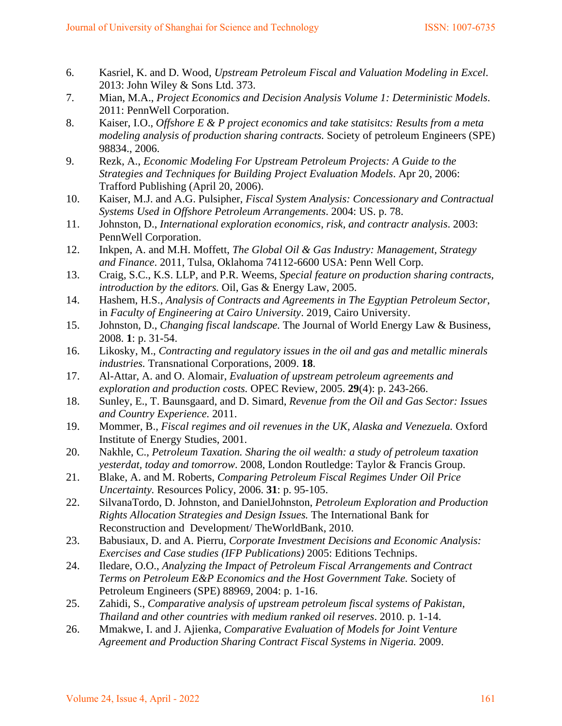- 6. Kasriel, K. and D. Wood, *Upstream Petroleum Fiscal and Valuation Modeling in Excel*. 2013: John Wiley & Sons Ltd. 373.
- 7. Mian, M.A., *Project Economics and Decision Analysis Volume 1: Deterministic Models*. 2011: PennWell Corporation.
- 8. Kaiser, I.O., *Offshore E & P project economics and take statisitcs: Results from a meta modeling analysis of production sharing contracts.* Society of petroleum Engineers (SPE) 98834., 2006.
- 9. Rezk, A., *Economic Modeling For Upstream Petroleum Projects: A Guide to the Strategies and Techniques for Building Project Evaluation Models*. Apr 20, 2006: Trafford Publishing (April 20, 2006).
- 10. Kaiser, M.J. and A.G. Pulsipher, *Fiscal System Analysis: Concessionary and Contractual Systems Used in Offshore Petroleum Arrangements*. 2004: US. p. 78.
- 11. Johnston, D., *International exploration economics, risk, and contractr analysis*. 2003: PennWell Corporation.
- 12. Inkpen, A. and M.H. Moffett, *The Global Oil & Gas Industry: Management, Strategy and Finance*. 2011, Tulsa, Oklahoma 74112-6600 USA: Penn Well Corp.
- 13. Craig, S.C., K.S. LLP, and P.R. Weems, *Special feature on production sharing contracts, introduction by the editors.* Oil, Gas & Energy Law, 2005.
- 14. Hashem, H.S., *Analysis of Contracts and Agreements in The Egyptian Petroleum Sector*, in *Faculty of Engineering at Cairo University*. 2019, Cairo University.
- 15. Johnston, D., *Changing fiscal landscape.* The Journal of World Energy Law & Business, 2008. **1**: p. 31-54.
- 16. Likosky, M., *Contracting and regulatory issues in the oil and gas and metallic minerals industries.* Transnational Corporations, 2009. **18**.
- 17. Al-Attar, A. and O. Alomair, *Evaluation of upstream petroleum agreements and exploration and production costs.* OPEC Review, 2005. **29**(4): p. 243-266.
- 18. Sunley, E., T. Baunsgaard, and D. Simard, *Revenue from the Oil and Gas Sector: Issues and Country Experience.* 2011.
- 19. Mommer, B., *Fiscal regimes and oil revenues in the UK, Alaska and Venezuela.* Oxford Institute of Energy Studies, 2001.
- 20. Nakhle, C., *Petroleum Taxation. Sharing the oil wealth: a study of petroleum taxation yesterdat, today and tomorrow*. 2008, London Routledge: Taylor & Francis Group.
- 21. Blake, A. and M. Roberts, *Comparing Petroleum Fiscal Regimes Under Oil Price Uncertainty.* Resources Policy, 2006. **31**: p. 95-105.
- 22. SilvanaTordo, D. Johnston, and DanielJohnston, *Petroleum Exploration and Production Rights Allocation Strategies and Design Issues.* The International Bank for Reconstruction and Development/ TheWorldBank, 2010.
- 23. Babusiaux, D. and A. Pierru, *Corporate Investment Decisions and Economic Analysis: Exercises and Case studies (IFP Publications)* 2005: Editions Technips.
- 24. Iledare, O.O., *Analyzing the Impact of Petroleum Fiscal Arrangements and Contract Terms on Petroleum E&P Economics and the Host Government Take.* Society of Petroleum Engineers (SPE) 88969, 2004: p. 1-16.
- 25. Zahidi, S., *Comparative analysis of upstream petroleum fiscal systems of Pakistan, Thailand and other countries with medium ranked oil reserves*. 2010. p. 1-14.
- 26. Mmakwe, I. and J. Ajienka, *Comparative Evaluation of Models for Joint Venture Agreement and Production Sharing Contract Fiscal Systems in Nigeria.* 2009.